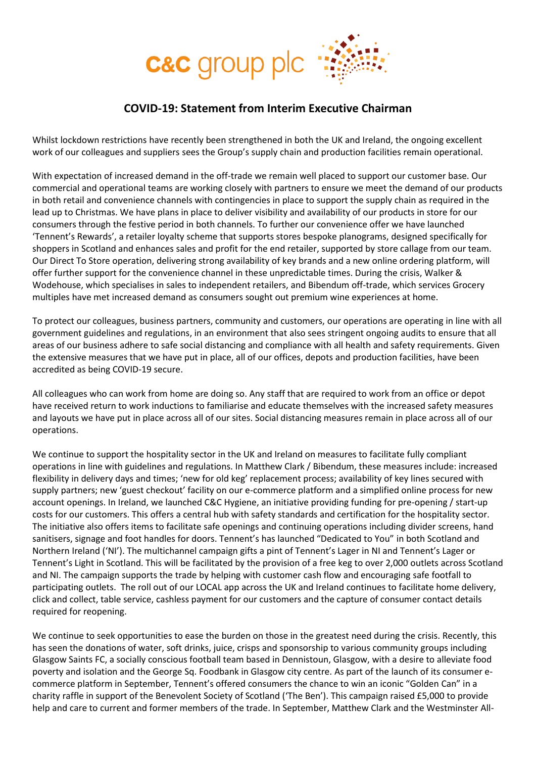

## **COVID-19: Statement from Interim Executive Chairman**

Whilst lockdown restrictions have recently been strengthened in both the UK and Ireland, the ongoing excellent work of our colleagues and suppliers sees the Group's supply chain and production facilities remain operational.

With expectation of increased demand in the off-trade we remain well placed to support our customer base. Our commercial and operational teams are working closely with partners to ensure we meet the demand of our products in both retail and convenience channels with contingencies in place to support the supply chain as required in the lead up to Christmas. We have plans in place to deliver visibility and availability of our products in store for our consumers through the festive period in both channels. To further our convenience offer we have launched 'Tennent's Rewards', a retailer loyalty scheme that supports stores bespoke planograms, designed specifically for shoppers in Scotland and enhances sales and profit for the end retailer, supported by store callage from our team. Our Direct To Store operation, delivering strong availability of key brands and a new online ordering platform, will offer further support for the convenience channel in these unpredictable times. During the crisis, Walker & Wodehouse, which specialises in sales to independent retailers, and Bibendum off-trade, which services Grocery multiples have met increased demand as consumers sought out premium wine experiences at home.

To protect our colleagues, business partners, community and customers, our operations are operating in line with all government guidelines and regulations, in an environment that also sees stringent ongoing audits to ensure that all areas of our business adhere to safe social distancing and compliance with all health and safety requirements. Given the extensive measures that we have put in place, all of our offices, depots and production facilities, have been accredited as being COVID-19 secure.

All colleagues who can work from home are doing so. Any staff that are required to work from an office or depot have received return to work inductions to familiarise and educate themselves with the increased safety measures and layouts we have put in place across all of our sites. Social distancing measures remain in place across all of our operations.

We continue to support the hospitality sector in the UK and Ireland on measures to facilitate fully compliant operations in line with guidelines and regulations. In Matthew Clark / Bibendum, these measures include: increased flexibility in delivery days and times; 'new for old keg' replacement process; availability of key lines secured with supply partners; new 'guest checkout' facility on our e-commerce platform and a simplified online process for new account openings. In Ireland, we launched C&C Hygiene, an initiative providing funding for pre-opening / start-up costs for our customers. This offers a central hub with safety standards and certification for the hospitality sector. The initiative also offers items to facilitate safe openings and continuing operations including divider screens, hand sanitisers, signage and foot handles for doors. Tennent's has launched "Dedicated to You" in both Scotland and Northern Ireland ('NI'). The multichannel campaign gifts a pint of Tennent's Lager in NI and Tennent's Lager or Tennent's Light in Scotland. This will be facilitated by the provision of a free keg to over 2,000 outlets across Scotland and NI. The campaign supports the trade by helping with customer cash flow and encouraging safe footfall to participating outlets. The roll out of our LOCAL app across the UK and Ireland continues to facilitate home delivery, click and collect, table service, cashless payment for our customers and the capture of consumer contact details required for reopening.

We continue to seek opportunities to ease the burden on those in the greatest need during the crisis. Recently, this has seen the donations of water, soft drinks, juice, crisps and sponsorship to various community groups including Glasgow Saints FC, a socially conscious football team based in Dennistoun, Glasgow, with a desire to alleviate food poverty and isolation and the George Sq. Foodbank in Glasgow city centre. As part of the launch of its consumer ecommerce platform in September, Tennent's offered consumers the chance to win an iconic "Golden Can" in a charity raffle in support of the Benevolent Society of Scotland ('The Ben'). This campaign raised £5,000 to provide help and care to current and former members of the trade. In September, Matthew Clark and the Westminster All